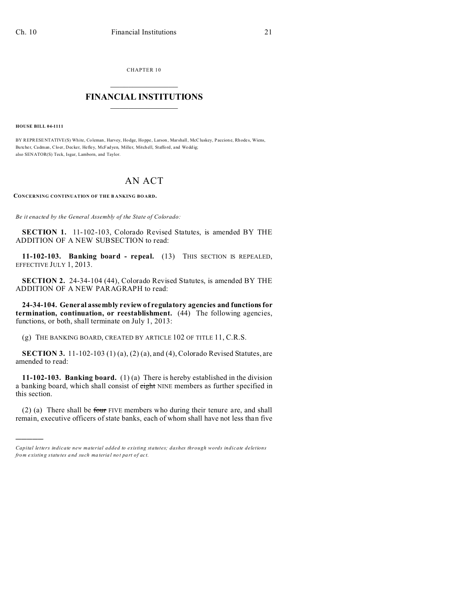CHAPTER 10

## **FINANCIAL INSTITUTIONS**

**HOUSE BILL 04-1111** 

BY REPRESENTATIVE(S) White, Coleman, Harvey, Hodge, Hoppe, Larson, Marshall, McCluskey, Paccione, Rhodes, Wiens, Butcher, Cadman, Cloer, Decker, Hefley, McFadyen, Miller, Mitchell, Stafford, and Weddig; also SENATOR(S) Teck, Isgar, Lamborn, and Taylor.

## AN ACT

CONCERNING CONTINUATION OF THE BANKING BOARD.

Be it enacted by the General Assembly of the State of Colorado:

**SECTION 1.** 11-102-103, Colorado Revised Statutes, is amended BY THE ADDITION OF A NEW SUBSECTION to read:

11-102-103. Banking board - repeal. (13) THIS SECTION IS REPEALED, EFFECTIVE JULY 1, 2013.

SECTION 2. 24-34-104 (44), Colorado Revised Statutes, is amended BY THE ADDITION OF A NEW PARAGRAPH to read:

24-34-104. General assembly review of regulatory agencies and functions for termination, continuation, or reestablishment. (44) The following agencies, functions, or both, shall terminate on July 1, 2013:

(g) THE BANKING BOARD, CREATED BY ARTICLE 102 OF TITLE 11, C.R.S.

SECTION 3. 11-102-103 (1)(a), (2)(a), and (4), Colorado Revised Statutes, are amended to read:

11-102-103. Banking board.  $(1)(a)$  There is hereby established in the division a banking board, which shall consist of eight NINE members as further specified in this section.

 $(2)$  (a) There shall be four FIVE members who during their tenure are, and shall remain, executive officers of state banks, each of whom shall have not less than five

Capital letters indicate new material added to existing statutes; dashes through words indicate deletions from existing statutes and such material not part of act.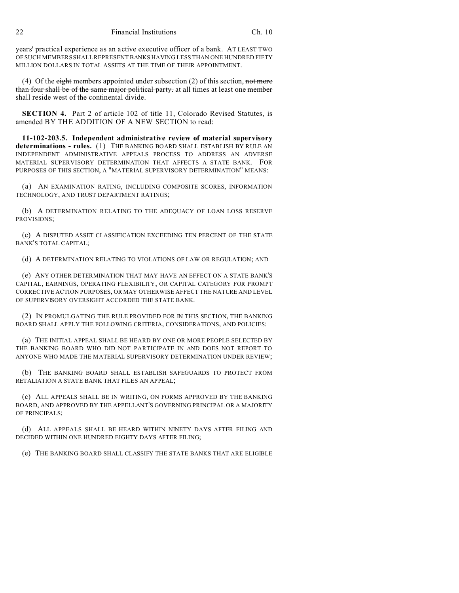22 Financial Institutions Ch. 10

years' practical experience as an active executive officer of a bank. AT LEAST TWO OF SUCH MEMBERS SHALL REPRESENT BANKS HAVING LESS THAN ONE HUNDRED FIFTY MILLION DOLLARS IN TOTAL ASSETS AT THE TIME OF THEIR APPOINTMENT.

(4) Of the eight members appointed under subsection (2) of this section, not more than four shall be of the same major political party. at all times at least one member shall reside west of the continental divide.

**SECTION 4.** Part 2 of article 102 of title 11, Colorado Revised Statutes, is amended BY THE ADDITION OF A NEW SECTION to read:

**11-102-203.5. Independent administrative review of material supervisory determinations - rules.** (1) THE BANKING BOARD SHALL ESTABLISH BY RULE AN INDEPENDENT ADMINISTRATIVE APPEALS PROCESS TO ADDRESS AN ADVERSE MATERIAL SUPERVISORY DETERMINATION THAT AFFECTS A STATE BANK. FOR PURPOSES OF THIS SECTION, A "MATERIAL SUPERVISORY DETERMINATION" MEANS:

(a) AN EXAMINATION RATING, INCLUDING COMPOSITE SCORES, INFORMATION TECHNOLOGY, AND TRUST DEPARTMENT RATINGS;

(b) A DETERMINATION RELATING TO THE ADEQUACY OF LOAN LOSS RESERVE PROVISIONS;

(c) A DISPUTED ASSET CLASSIFICATION EXCEEDING TEN PERCENT OF THE STATE BANK'S TOTAL CAPITAL;

(d) A DETERMINATION RELATING TO VIOLATIONS OF LAW OR REGULATION; AND

(e) ANY OTHER DETERMINATION THAT MAY HAVE AN EFFECT ON A STATE BANK'S CAPITAL, EARNINGS, OPERATING FLEXIBILITY, OR CAPITAL CATEGORY FOR PROMPT CORRECTIVE ACTION PURPOSES, OR MAY OTHERWISE AFFECT THE NATURE AND LEVEL OF SUPERVISORY OVERSIGHT ACCORDED THE STATE BANK.

(2) IN PROMULGATING THE RULE PROVIDED FOR IN THIS SECTION, THE BANKING BOARD SHALL APPLY THE FOLLOWING CRITERIA, CONSIDERATIONS, AND POLICIES:

(a) THE INITIAL APPEAL SHALL BE HEARD BY ONE OR MORE PEOPLE SELECTED BY THE BANKING BOARD WHO DID NOT PARTICIPATE IN AND DOES NOT REPORT TO ANYONE WHO MADE THE MATERIAL SUPERVISORY DETERMINATION UNDER REVIEW;

(b) THE BANKING BOARD SHALL ESTABLISH SAFEGUARDS TO PROTECT FROM RETALIATION A STATE BANK THAT FILES AN APPEAL;

(c) ALL APPEALS SHALL BE IN WRITING, ON FORMS APPROVED BY THE BANKING BOARD, AND APPROVED BY THE APPELLANT'S GOVERNING PRINCIPAL OR A MAJORITY OF PRINCIPALS;

(d) ALL APPEALS SHALL BE HEARD WITHIN NINETY DAYS AFTER FILING AND DECIDED WITHIN ONE HUNDRED EIGHTY DAYS AFTER FILING;

(e) THE BANKING BOARD SHALL CLASSIFY THE STATE BANKS THAT ARE ELIGIBLE